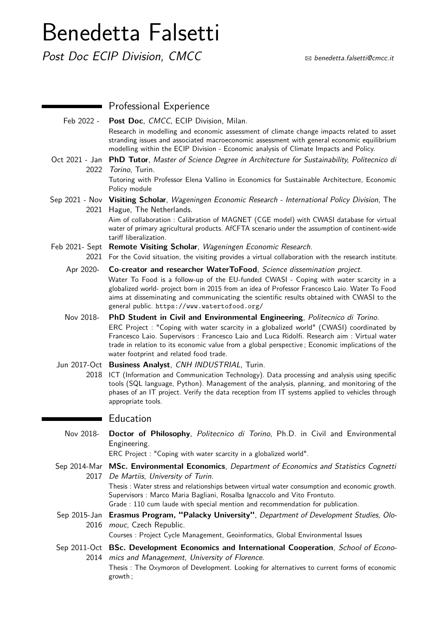# Benedetta Falsetti

Post Doc ECIP Division, CMCC  $\otimes$  B [benedetta.falsetti@cmcc.it](mailto:benedetta.falsetti@cmcc.it)

|                        | Professional Experience                                                                                                                                                                                                                                                                                                                                                                                            |
|------------------------|--------------------------------------------------------------------------------------------------------------------------------------------------------------------------------------------------------------------------------------------------------------------------------------------------------------------------------------------------------------------------------------------------------------------|
| Feb 2022 -             | Post Doc, CMCC, ECIP Division, Milan.<br>Research in modelling and economic assessment of climate change impacts related to asset<br>stranding issues and associated macroeconomic assessment with general economic equilibrium<br>modelling within the ECIP Division - Economic analysis of Climate Impacts and Policy.                                                                                           |
| Oct 2021 - Jan<br>2022 | <b>PhD Tutor, Master of Science Degree in Architecture for Sustainability, Politecnico di</b><br>Torino, Turin.<br>Tutoring with Professor Elena Vallino in Economics for Sustainable Architecture, Economic<br>Policy module                                                                                                                                                                                      |
|                        | Sep 2021 - Nov Visiting Scholar, Wageningen Economic Research - International Policy Division, The<br>2021 Hague, The Netherlands.<br>Aim of collaboration : Calibration of MAGNET (CGE model) with CWASI database for virtual<br>water of primary agricultural products. AfCFTA scenario under the assumption of continent-wide<br>tariff liberalization.                                                         |
|                        | Feb 2021- Sept Remote Visiting Scholar, Wageningen Economic Research.<br>2021 For the Covid situation, the visiting provides a virtual collaboration with the research institute.                                                                                                                                                                                                                                  |
| Apr 2020-              | Co-creator and researcher WaterToFood, Science dissemination project.<br>Water To Food is a follow-up of the EU-funded CWASI - Coping with water scarcity in a<br>globalized world- project born in 2015 from an idea of Professor Francesco Laio. Water To Food<br>aims at disseminating and communicating the scientific results obtained with CWASI to the<br>general public. https://www.watertofood.org/      |
| Nov 2018-              | PhD Student in Civil and Environmental Engineering, Politecnico di Torino.<br>ERC Project : "Coping with water scarcity in a globalized world" (CWASI) coordinated by<br>Francesco Laio. Supervisors : Francesco Laio and Luca Ridolfi. Research aim : Virtual water<br>trade in relation to its economic value from a global perspective; Economic implications of the<br>water footprint and related food trade. |
| 2018                   | Jun 2017-Oct Business Analyst, CNH INDUSTRIAL, Turin.<br>ICT (Information and Communication Technology). Data processing and analysis using specific<br>tools (SQL language, Python). Management of the analysis, planning, and monitoring of the<br>phases of an IT project. Verify the data reception from IT systems applied to vehicles through<br>appropriate tools.                                          |
|                        | Education                                                                                                                                                                                                                                                                                                                                                                                                          |
| Nov 2018-              | Doctor of Philosophy, Politecnico di Torino, Ph.D. in Civil and Environmental<br>Engineering.<br>ERC Project: "Coping with water scarcity in a globalized world".                                                                                                                                                                                                                                                  |
|                        | Sep 2014-Mar MSc. Environmental Economics, Department of Economics and Statistics Cognetti<br>2017 De Martiis, University of Turin.<br>Thesis: Water stress and relationships between virtual water consumption and economic growth.<br>Supervisors: Marco Maria Bagliani, Rosalba Ignaccolo and Vito Frontuto.<br>Grade : 110 cum laude with special mention and recommendation for publication.                  |
| Sep 2015-Jan<br>2016   | Erasmus Program, "Palacky University", Department of Development Studies, Olo-<br>mouc, Czech Republic.<br>Courses : Project Cycle Management, Geoinformatics, Global Environmental Issues                                                                                                                                                                                                                         |
|                        | Sep 2011-Oct <b>BSc. Development Economics and International Cooperation</b> , School of Econo-<br>2014 mics and Management, University of Florence.<br>Thesis: The Oxymoron of Development. Looking for alternatives to current forms of economic<br>growth;                                                                                                                                                      |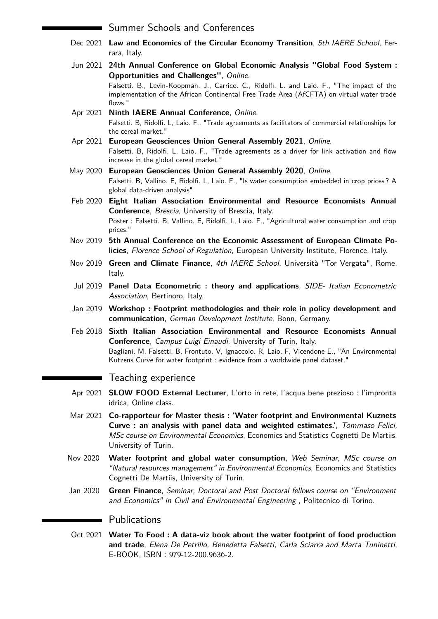### Summer Schools and Conferences

- Dec 2021 **Law and Economics of the Circular Economy Transition**, 5th IAERE School, Ferrara, Italy.
- Jun 2021 **24th Annual Conference on Global Economic Analysis "Global Food System : Opportunities and Challenges"**, Online. Falsetti. B., Levin-Koopman. J., Carrico. C., Ridolfi. L. and Laio. F., "The impact of the implementation of the African Continental Free Trade Area (AfCFTA) on virtual water trade flows."
- Apr 2021 **Ninth IAERE Annual Conference**, Online. Falsetti. B, Ridolfi. L, Laio. F., "Trade agreements as facilitators of commercial relationships for the cereal market."
- Apr 2021 **European Geosciences Union General Assembly 2021**, Online. Falsetti. B, Ridolfi. L, Laio. F., "Trade agreements as a driver for link activation and flow increase in the global cereal market."
- May 2020 **European Geosciences Union General Assembly 2020**, Online. Falsetti. B, Vallino. E, Ridolfi. L, Laio. F., "Is water consumption embedded in crop prices ? A global data-driven analysis"
- Feb 2020 **Eight Italian Association Environmental and Resource Economists Annual Conference**, Brescia, University of Brescia, Italy. Poster : Falsetti. B, Vallino. E, Ridolfi. L, Laio. F., "Agricultural water consumption and crop prices."
- Nov 2019 **5th Annual Conference on the Economic Assessment of European Climate Policies**, Florence School of Regulation, European University Institute, Florence, Italy.
- Nov 2019 **Green and Climate Finance**, 4th IAERE School, Università "Tor Vergata", Rome, Italy.
- Jul 2019 **Panel Data Econometric : theory and applications**, SIDE- Italian Econometric Association, Bertinoro, Italy.
- Jan 2019 **Workshop : Footprint methodologies and their role in policy development and communication**, German Development Institute, Bonn, Germany.
- Feb 2018 **Sixth Italian Association Environmental and Resource Economists Annual Conference**, Campus Luigi Einaudi, University of Turin, Italy. Bagliani. M, Falsetti. B, Frontuto. V, Ignaccolo. R, Laio. F, Vicendone E., "An Environmental Kutzens Curve for water footprint : evidence from a worldwide panel dataset."

## Teaching experience

٠

- Apr 2021 **SLOW FOOD External Lecturer**, L'orto in rete, l'acqua bene prezioso : l'impronta idrica, Online class.
- Mar 2021 **Co-rapporteur for Master thesis : 'Water footprint and Environmental Kuznets Curve : an analysis with panel data and weighted estimates.'**, Tommaso Felici, MSc course on Environmental Economics, Economics and Statistics Cognetti De Martiis, University of Turin.
- Nov 2020 **Water footprint and global water consumption**, Web Seminar, MSc course on "Natural resources management" in Environmental Economics, Economics and Statistics Cognetti De Martiis, University of Turin.
- Jan 2020 **Green Finance**, Seminar, Doctoral and Post Doctoral fellows course on "Environment and Economics" in Civil and Environmental Engineering , Politecnico di Torino.

## **Publications**

Oct 2021 **Water To Food : A data-viz book about the water footprint of food production and trade**, Elena De Petrillo, Benedetta Falsetti, Carla Sciarra and Marta Tuninetti, E-BOOK, ISBN : 979-12-200.9636-2.